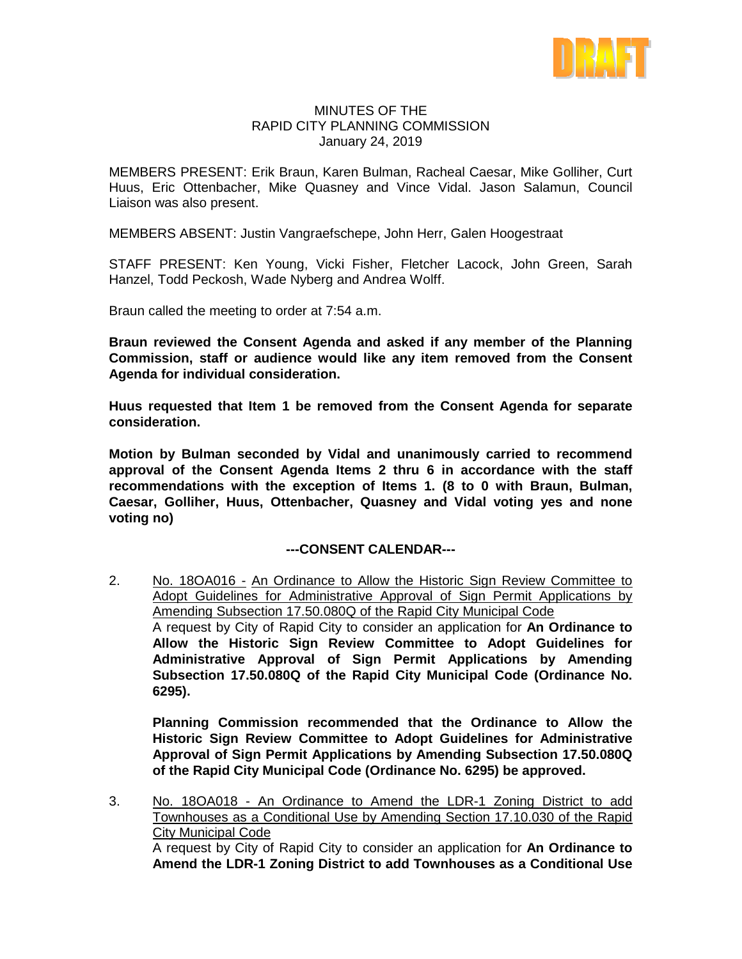

### MINUTES OF THE RAPID CITY PLANNING COMMISSION January 24, 2019

MEMBERS PRESENT: Erik Braun, Karen Bulman, Racheal Caesar, Mike Golliher, Curt Huus, Eric Ottenbacher, Mike Quasney and Vince Vidal. Jason Salamun, Council Liaison was also present.

MEMBERS ABSENT: Justin Vangraefschepe, John Herr, Galen Hoogestraat

STAFF PRESENT: Ken Young, Vicki Fisher, Fletcher Lacock, John Green, Sarah Hanzel, Todd Peckosh, Wade Nyberg and Andrea Wolff.

Braun called the meeting to order at 7:54 a.m.

**Braun reviewed the Consent Agenda and asked if any member of the Planning Commission, staff or audience would like any item removed from the Consent Agenda for individual consideration.**

**Huus requested that Item 1 be removed from the Consent Agenda for separate consideration.**

**Motion by Bulman seconded by Vidal and unanimously carried to recommend approval of the Consent Agenda Items 2 thru 6 in accordance with the staff recommendations with the exception of Items 1. (8 to 0 with Braun, Bulman, Caesar, Golliher, Huus, Ottenbacher, Quasney and Vidal voting yes and none voting no)**

# **---CONSENT CALENDAR---**

2. No. 18OA016 - An Ordinance to Allow the Historic Sign Review Committee to Adopt Guidelines for Administrative Approval of Sign Permit Applications by Amending Subsection 17.50.080Q of the Rapid City Municipal Code A request by City of Rapid City to consider an application for **An Ordinance to Allow the Historic Sign Review Committee to Adopt Guidelines for Administrative Approval of Sign Permit Applications by Amending Subsection 17.50.080Q of the Rapid City Municipal Code (Ordinance No. 6295).**

**Planning Commission recommended that the Ordinance to Allow the Historic Sign Review Committee to Adopt Guidelines for Administrative Approval of Sign Permit Applications by Amending Subsection 17.50.080Q of the Rapid City Municipal Code (Ordinance No. 6295) be approved.**

3. No. 18OA018 - An Ordinance to Amend the LDR-1 Zoning District to add Townhouses as a Conditional Use by Amending Section 17.10.030 of the Rapid **City Municipal Code** A request by City of Rapid City to consider an application for **An Ordinance to Amend the LDR-1 Zoning District to add Townhouses as a Conditional Use**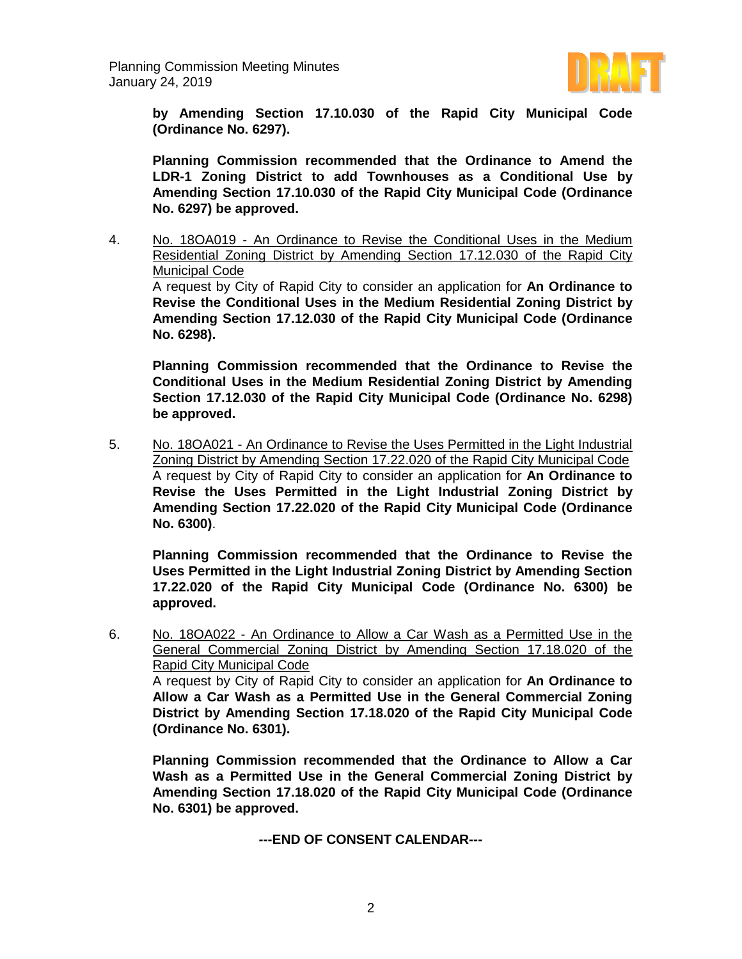

**by Amending Section 17.10.030 of the Rapid City Municipal Code (Ordinance No. 6297).**

**Planning Commission recommended that the Ordinance to Amend the LDR-1 Zoning District to add Townhouses as a Conditional Use by Amending Section 17.10.030 of the Rapid City Municipal Code (Ordinance No. 6297) be approved.**

4. No. 18OA019 - An Ordinance to Revise the Conditional Uses in the Medium Residential Zoning District by Amending Section 17.12.030 of the Rapid City Municipal Code

A request by City of Rapid City to consider an application for **An Ordinance to Revise the Conditional Uses in the Medium Residential Zoning District by Amending Section 17.12.030 of the Rapid City Municipal Code (Ordinance No. 6298).**

**Planning Commission recommended that the Ordinance to Revise the Conditional Uses in the Medium Residential Zoning District by Amending Section 17.12.030 of the Rapid City Municipal Code (Ordinance No. 6298) be approved.**

5. No. 18OA021 - An Ordinance to Revise the Uses Permitted in the Light Industrial Zoning District by Amending Section 17.22.020 of the Rapid City Municipal Code A request by City of Rapid City to consider an application for **An Ordinance to Revise the Uses Permitted in the Light Industrial Zoning District by Amending Section 17.22.020 of the Rapid City Municipal Code (Ordinance No. 6300)**.

**Planning Commission recommended that the Ordinance to Revise the Uses Permitted in the Light Industrial Zoning District by Amending Section 17.22.020 of the Rapid City Municipal Code (Ordinance No. 6300) be approved.**

6. No. 18OA022 - An Ordinance to Allow a Car Wash as a Permitted Use in the General Commercial Zoning District by Amending Section 17.18.020 of the Rapid City Municipal Code

A request by City of Rapid City to consider an application for **An Ordinance to Allow a Car Wash as a Permitted Use in the General Commercial Zoning District by Amending Section 17.18.020 of the Rapid City Municipal Code (Ordinance No. 6301).**

**Planning Commission recommended that the Ordinance to Allow a Car Wash as a Permitted Use in the General Commercial Zoning District by Amending Section 17.18.020 of the Rapid City Municipal Code (Ordinance No. 6301) be approved.**

**---END OF CONSENT CALENDAR---**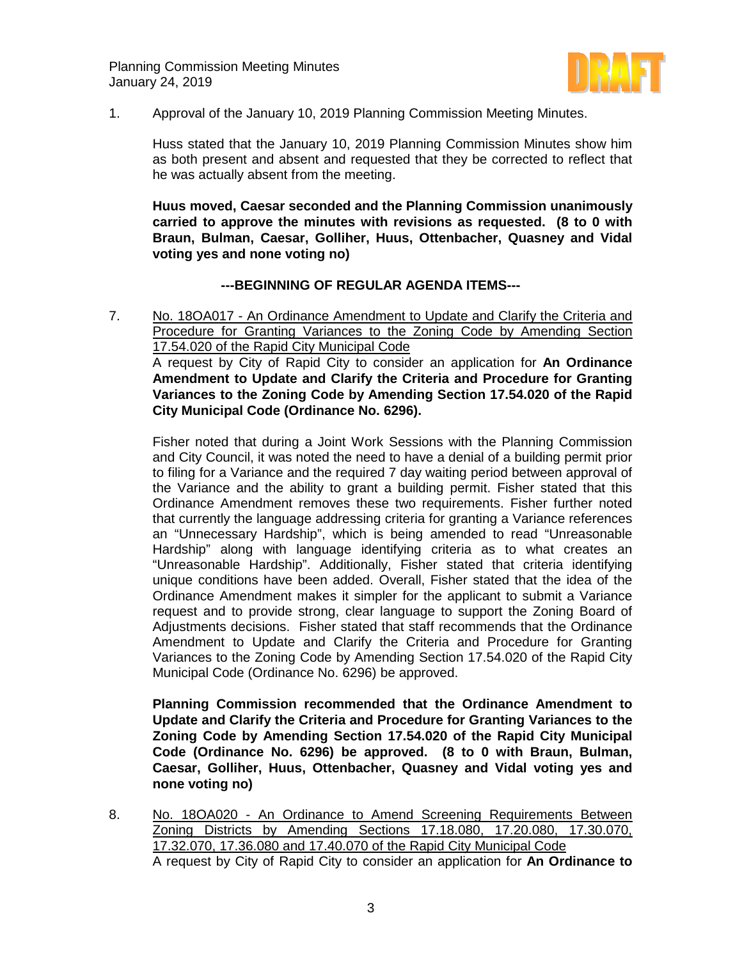

1. Approval of the January 10, 2019 Planning Commission Meeting Minutes.

Huss stated that the January 10, 2019 Planning Commission Minutes show him as both present and absent and requested that they be corrected to reflect that he was actually absent from the meeting.

**Huus moved, Caesar seconded and the Planning Commission unanimously carried to approve the minutes with revisions as requested. (8 to 0 with Braun, Bulman, Caesar, Golliher, Huus, Ottenbacher, Quasney and Vidal voting yes and none voting no)**

### **---BEGINNING OF REGULAR AGENDA ITEMS---**

7. No. 18OA017 - An Ordinance Amendment to Update and Clarify the Criteria and Procedure for Granting Variances to the Zoning Code by Amending Section 17.54.020 of the Rapid City Municipal Code A request by City of Rapid City to consider an application for **An Ordinance** 

**Amendment to Update and Clarify the Criteria and Procedure for Granting Variances to the Zoning Code by Amending Section 17.54.020 of the Rapid City Municipal Code (Ordinance No. 6296).**

Fisher noted that during a Joint Work Sessions with the Planning Commission and City Council, it was noted the need to have a denial of a building permit prior to filing for a Variance and the required 7 day waiting period between approval of the Variance and the ability to grant a building permit. Fisher stated that this Ordinance Amendment removes these two requirements. Fisher further noted that currently the language addressing criteria for granting a Variance references an "Unnecessary Hardship", which is being amended to read "Unreasonable Hardship" along with language identifying criteria as to what creates an "Unreasonable Hardship". Additionally, Fisher stated that criteria identifying unique conditions have been added. Overall, Fisher stated that the idea of the Ordinance Amendment makes it simpler for the applicant to submit a Variance request and to provide strong, clear language to support the Zoning Board of Adjustments decisions. Fisher stated that staff recommends that the Ordinance Amendment to Update and Clarify the Criteria and Procedure for Granting Variances to the Zoning Code by Amending Section 17.54.020 of the Rapid City Municipal Code (Ordinance No. 6296) be approved.

**Planning Commission recommended that the Ordinance Amendment to Update and Clarify the Criteria and Procedure for Granting Variances to the Zoning Code by Amending Section 17.54.020 of the Rapid City Municipal Code (Ordinance No. 6296) be approved. (8 to 0 with Braun, Bulman, Caesar, Golliher, Huus, Ottenbacher, Quasney and Vidal voting yes and none voting no)**

8. No. 18OA020 - An Ordinance to Amend Screening Requirements Between Zoning Districts by Amending Sections 17.18.080, 17.20.080, 17.30.070, 17.32.070, 17.36.080 and 17.40.070 of the Rapid City Municipal Code A request by City of Rapid City to consider an application for **An Ordinance to**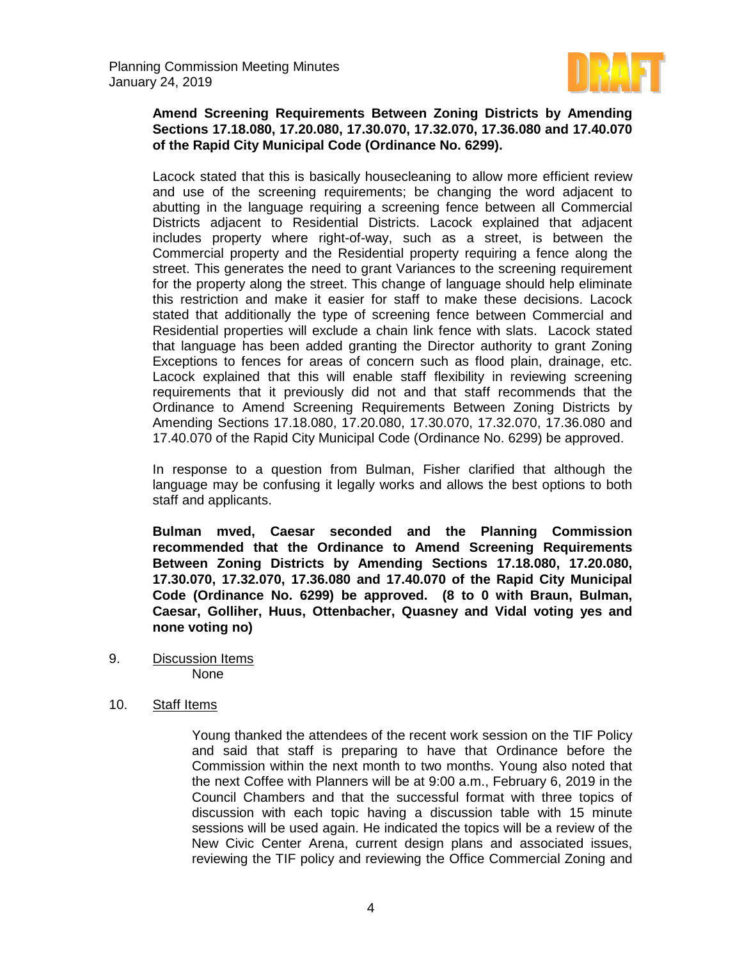

# **Amend Screening Requirements Between Zoning Districts by Amending Sections 17.18.080, 17.20.080, 17.30.070, 17.32.070, 17.36.080 and 17.40.070 of the Rapid City Municipal Code (Ordinance No. 6299).**

Lacock stated that this is basically housecleaning to allow more efficient review and use of the screening requirements; be changing the word adjacent to abutting in the language requiring a screening fence between all Commercial Districts adjacent to Residential Districts. Lacock explained that adjacent includes property where right-of-way, such as a street, is between the Commercial property and the Residential property requiring a fence along the street. This generates the need to grant Variances to the screening requirement for the property along the street. This change of language should help eliminate this restriction and make it easier for staff to make these decisions. Lacock stated that additionally the type of screening fence between Commercial and Residential properties will exclude a chain link fence with slats. Lacock stated that language has been added granting the Director authority to grant Zoning Exceptions to fences for areas of concern such as flood plain, drainage, etc. Lacock explained that this will enable staff flexibility in reviewing screening requirements that it previously did not and that staff recommends that the Ordinance to Amend Screening Requirements Between Zoning Districts by Amending Sections 17.18.080, 17.20.080, 17.30.070, 17.32.070, 17.36.080 and 17.40.070 of the Rapid City Municipal Code (Ordinance No. 6299) be approved.

In response to a question from Bulman, Fisher clarified that although the language may be confusing it legally works and allows the best options to both staff and applicants.

**Bulman mved, Caesar seconded and the Planning Commission recommended that the Ordinance to Amend Screening Requirements Between Zoning Districts by Amending Sections 17.18.080, 17.20.080, 17.30.070, 17.32.070, 17.36.080 and 17.40.070 of the Rapid City Municipal Code (Ordinance No. 6299) be approved. (8 to 0 with Braun, Bulman, Caesar, Golliher, Huus, Ottenbacher, Quasney and Vidal voting yes and none voting no)**

9. Discussion Items None

# 10. Staff Items

Young thanked the attendees of the recent work session on the TIF Policy and said that staff is preparing to have that Ordinance before the Commission within the next month to two months. Young also noted that the next Coffee with Planners will be at 9:00 a.m., February 6, 2019 in the Council Chambers and that the successful format with three topics of discussion with each topic having a discussion table with 15 minute sessions will be used again. He indicated the topics will be a review of the New Civic Center Arena, current design plans and associated issues, reviewing the TIF policy and reviewing the Office Commercial Zoning and